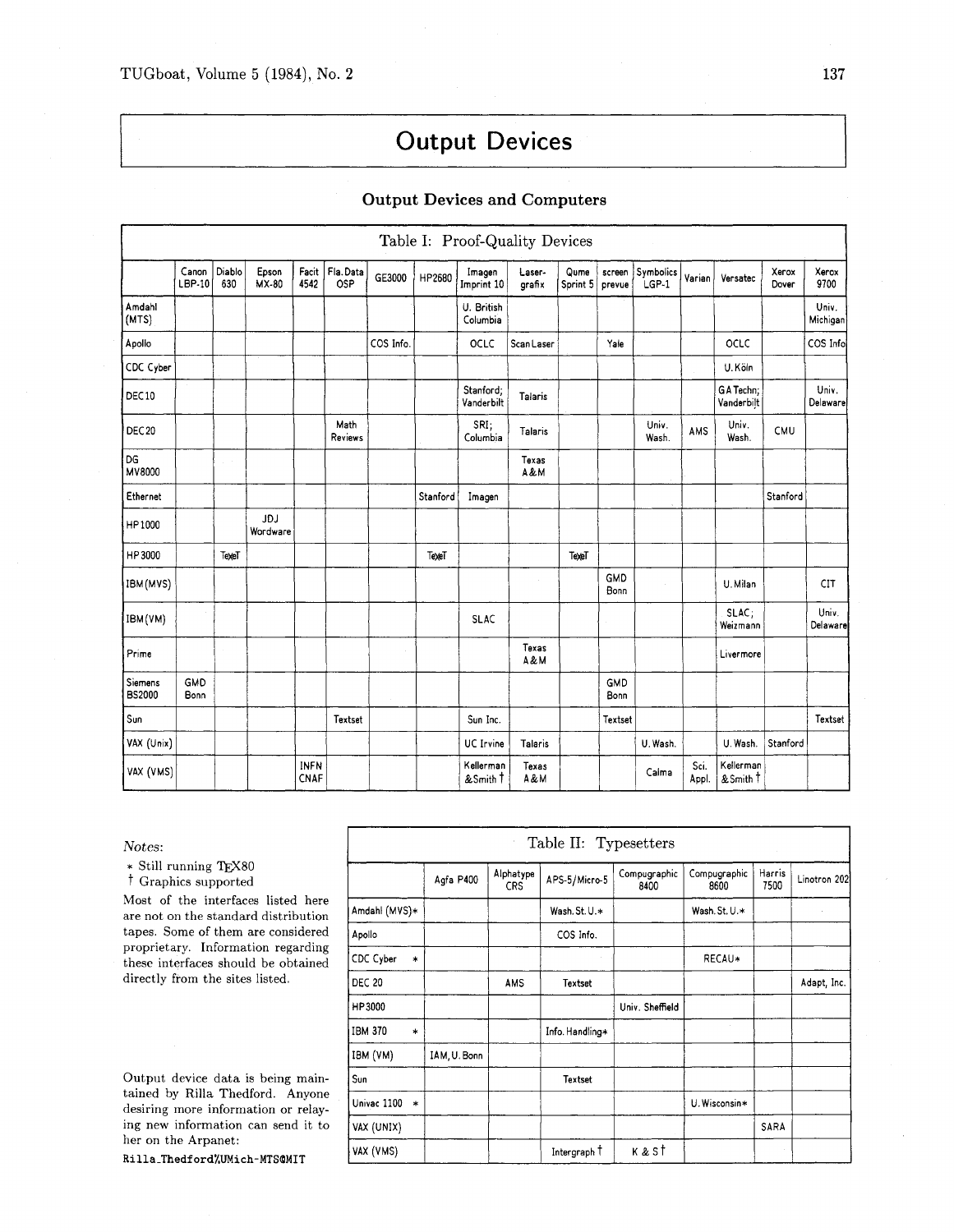# **Output Devices**

## **Output Devices and Computers**

|                          |                    |               |                 |                     |                 |           |          | Table I: Proof-Quality Devices |                  |                  |                  |                             |               |                         |                |                   |
|--------------------------|--------------------|---------------|-----------------|---------------------|-----------------|-----------|----------|--------------------------------|------------------|------------------|------------------|-----------------------------|---------------|-------------------------|----------------|-------------------|
|                          | Canon<br>LBP-10    | Diablo<br>630 | Epson<br>MX-80  | Facit<br>4542       | Fla.Data<br>OSP | GE3000    | HP2680   | Imagen<br>Imprint 10           | Laser-<br>grafix | Qume<br>Sprint 5 | screen<br>prevue | Symbolics<br>LGP-1          | Varian        | Versatec                | Xerox<br>Dover | Xerox<br>9700     |
| Amdahl<br>(MTS)          |                    |               |                 |                     |                 |           |          | U. British<br>Columbia         |                  |                  |                  |                             |               |                         |                | Univ.<br>Michigan |
| Apollo                   |                    |               |                 |                     |                 | COS Info. |          | OCLC                           | ScanLaser        |                  | Yale             |                             |               | OCLC                    |                | COS Info          |
| CDC Cyber                |                    |               |                 |                     |                 |           |          |                                |                  |                  |                  |                             |               | U.Köln                  |                |                   |
| DEC10                    |                    |               |                 |                     |                 |           |          | Stanford;<br>Vanderbilt        | Talaris          |                  |                  |                             |               | GA Techn;<br>Vanderbilt |                | Univ.<br>Delaware |
| <b>DEC 20</b>            |                    |               |                 |                     | Math<br>Reviews |           |          | SRI;<br>Columbia               | Talaris          |                  |                  | Univ.<br>Wash.              | AMS           | Univ.<br>Wash.          | CMU            |                   |
| DG<br>MV8000             |                    | $\sim$        |                 |                     |                 |           |          |                                | Texas<br>A&M     |                  |                  |                             |               |                         |                |                   |
| Ethernet                 |                    |               |                 |                     |                 |           | Stanford | Imagen                         |                  |                  |                  |                             |               |                         | Stanford       |                   |
| HP1000                   |                    |               | JDJ<br>Wordware |                     |                 |           |          |                                |                  |                  |                  |                             |               |                         |                |                   |
| HP3000                   |                    | TexeT         |                 |                     |                 |           | TexeT    |                                |                  | TexeT            |                  |                             |               |                         |                |                   |
| IBM (MVS)                |                    |               |                 |                     |                 |           |          |                                | $\alpha$         |                  | GMD<br>Bonn      | $\mathcal{L}_{\mathcal{L}}$ |               | U. Milan                |                | CIT               |
| IBM (VM)                 |                    |               |                 |                     |                 |           |          | <b>SLAC</b>                    |                  |                  |                  |                             |               | SLAC;<br>Weizmann       |                | Univ.<br>Delaware |
| Prime                    |                    | $\sim$        |                 |                     |                 |           |          |                                | Texas<br>A&M     |                  |                  |                             |               | Livermore               |                |                   |
| Siemens<br><b>BS2000</b> | <b>GMD</b><br>Bonn |               |                 |                     |                 | $\sim$    |          |                                |                  |                  | GMD<br>Bonn      |                             |               |                         |                |                   |
| Sun                      |                    |               |                 |                     | Textset         |           |          | Sun Inc.                       |                  |                  | Textset          |                             |               |                         |                | Textset           |
| VAX (Unix)               |                    |               |                 |                     |                 |           |          | <b>UC</b> Irvine               | Talaris          |                  |                  | U. Wash.                    |               | U. Wash.                | Stanford       |                   |
| VAX (VMS)                |                    |               |                 | <b>INFN</b><br>CNAF |                 |           |          | Kellerman<br>& Smith T         | Texas<br>A&M     |                  |                  | Caima                       | Sci.<br>Appl. | Kellerman<br>& Smith T  |                |                   |

 $Notes:$ 

 $\ast$  Still running TEX80

<sup>†</sup> Graphics supported

Most of the interfaces listed here are not on the standard distribution tapes. Some of them are considered proprietary. Information regarding these interfaces should be obtained directly from the sites listed.

Output device data is being maintained by Rilla Thedford. Anyone desiring more information or relaying new information can send it to her on the Arpanet:

Rilla\_Thedford%UMich-MTS@MIT

| Table II: Typesetters    |              |                  |                 |                      |                      |                |              |  |  |  |
|--------------------------|--------------|------------------|-----------------|----------------------|----------------------|----------------|--------------|--|--|--|
|                          | Agfa P400    | Alphatype<br>CRS | APS-5/Micro-5   | Compugraphic<br>8400 | Compugraphic<br>8600 | Harris<br>7500 | Linotron 202 |  |  |  |
| Amdahl (MVS)*            |              |                  | Wash, St. U.*   |                      | Wash. St. U.*        |                |              |  |  |  |
| Apollo                   |              |                  | COS Info.       |                      |                      |                |              |  |  |  |
| CDC Cyber<br>$\ast$      |              |                  |                 |                      | RECAU*               |                |              |  |  |  |
| <b>DEC 20</b>            |              | AMS              | Textset         |                      |                      |                | Adapt, Inc.  |  |  |  |
| HP3000                   |              |                  |                 | Univ. Sheffield      |                      |                |              |  |  |  |
| <b>IBM 370</b><br>$\ast$ |              |                  | Info. Handling* |                      |                      |                |              |  |  |  |
| IBM (VM)                 | IAM, U. Bonn |                  |                 |                      |                      |                |              |  |  |  |
| Sun                      |              |                  | <b>Textset</b>  |                      |                      |                |              |  |  |  |
| Univac 1100<br>$\ast$    |              |                  |                 |                      | U. Wisconsin*        |                |              |  |  |  |
| VAX (UNIX)               |              |                  |                 |                      |                      | SARA           |              |  |  |  |
| VAX (VMS)                |              |                  | Intergraph T    | k & st               |                      |                |              |  |  |  |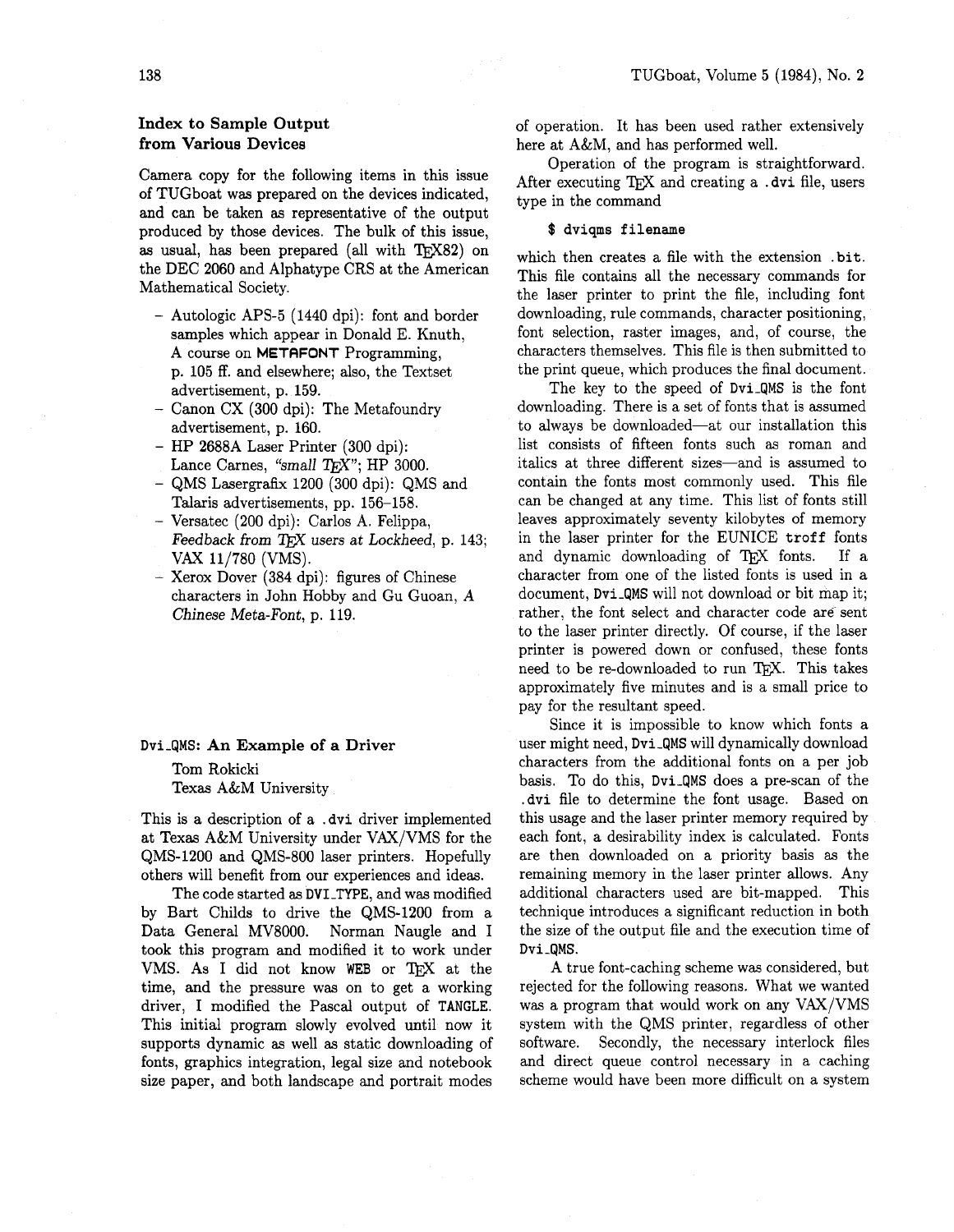# **Index to Sample Output from Various Devices**

Camera copy for the following items in this issue of TUGboat was prepared on the devices indicated, and can be taken as representative of the output produced by those devices. The bulk of this issue, as usual, has been prepared (all with  $T_F X82$ ) on the DEC 2060 and Alphatype CRS at the American Mathematical Society.

- Autologic APS-5 (1440 dpi): font and border samples which appear in Donald E. Knuth, A course on **METRFONT** Programming, p. 105 ff. and elsewhere; also, the Textset advertisement, p. 159.
- $-$  Canon CX (300 dpi): The Metafoundry advertisement, p. 160.
- HP 2688A Laser Printer (300 dpi): Lance Carnes, "small T<sub>F</sub>X"; HP 3000.
- QMS Lasergrafix 1200 (300 dpi): QMS and Talaris advertisements, pp. 156-158.
- Versatec (200 dpi): Carlos A. Felippa, Feedback from TFX users at Lockheed, p. 143; VAX 11/780 (VMS).
- -Xerox Dover (384 dpi): figures of Chinese characters in John Hobby and Gu Guoan, **A**  Chinese Meta-Font, p. 119.

## Dvi-QMS: **An Example of a Driver**

Tom Rokicki Texas A&M University

This is a description of a . dvi driver implemented at Texas A&M University under VAX/VMS for the QMS-1200 and QMS-800 laser printers. Hopefully others will benefit from our experiences and ideas.

The code started as DVI-TYPE, and was modified by Bart Childs to drive the QMS-1200 from a Data General MV8000. Norman Naugle and I took this program and modified it to work under VMS. As I did not know WEB or TFX at the time, and the pressure was on to get a working driver, I modified the Pascal output of TANGLE. This initial program slowly evolved until now it supports dynamic as well as static downloading of fonts, graphics integration, legal size and notebook size paper, and both landscape and portrait modes

of operation. It has been used rather extensively here at A&M, and has performed well.

Operation of the program is straightforward. After executing TEX and creating a .dvi file, users type in the command

#### \$ dviqms filename

which then creates a file with the extension .bit. This file contains all the necessary commands for the laser printer to print the file, including font downloading, rule commands, character positioning, font selection, raster images, and, of course, the characters themselves. This file is then submitted to the print queue, which produces the final document.

The key to the speed of Dvi-qMS is the font downloading. There is a set of fonts that is assumed to always be downloaded-at our installation this list consists of fifteen fonts such as roman and italics at three different sizes-and is assumed to contain the fonts most commonly used. This file can be changed at any time. This list of fonts still leaves approximately seventy kilobytes of memory in the laser printer for the EUNICE troff fonts and dynamic downloading of TFX fonts. If a character from one of the listed fonts is used in a document, Dvi-qMS will not download or bit map it; rather, the font select and character code are sent to the laser printer directly. Of course, if the laser printer is powered down or confused, these fonts to the laser printer directly. Of course, if the laser<br>printer is powered down or confused, these fonts<br>need to be re-downloaded to run T<sub>E</sub>X. This takes<br>approximately five minutes and is a small price to approximately five minutes and is a small price to pay for the resultant speed.

Since it is impossible to know which fonts a user might need, Dvi-QMS will dynamically download characters from the additional fonts on a per job basis. To do this, Dvi-qMS does a pre-scan of the . dvi file to determine the font usage. Based on this usage and the laser printer memory required by each font, a desirability index is calculated. Fonts are then downloaded on a priority basis as the remaining memory in the laser printer allows. Any additional characters used are bit-mapped. This technique introduces a significant reduction in both the size of the output file and the execution time of Dvi-QMS.

A true font-caching scheme was considered, but rejected for the following reasons. What we wanted was a program that would work on any VAX/VMS system with the QMS printer, regardless of other software. Secondly, the necessary interlock files and direct queue control necessary in a caching scheme would have been more difficult on a system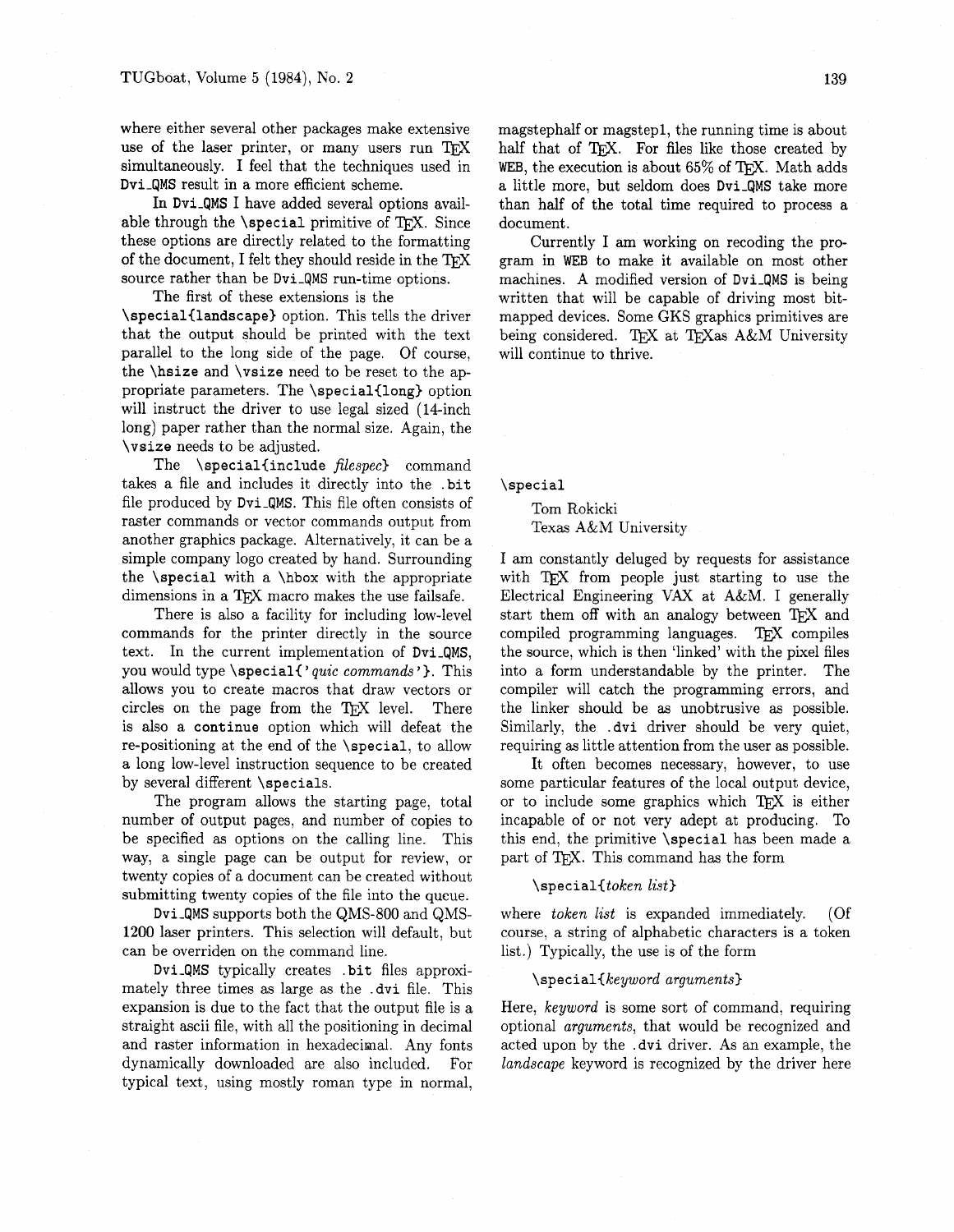where either several other packages make extensive use of the laser printer, or many users run TFX simultaneously. I feel that the techniques used in Dvi-QMS result in a more efficient scheme.

In Dvi-QMS I have added several options available through the  $\simeq$  special primitive of TFX. Since these options are directly related to the formatting of the document, I felt they should reside in the TEX source rather than be Dvi-QMS run-time options.

The first of these extensions is the \special{landscape3 option. This tells the driver that the output should be printed with the text parallel to the long side of the page. Of course, the \hsize and \vsize need to be reset to the appropriate parameters. The \special{long) option will instruct the driver to use legal sized (14-inch long) paper rather than the normal size. Again, the \vsize needs to be adjusted.

The \special{include *filespec*} command takes a file and includes it directly into the .bit file produced by Dvi-QMS. This file often consists of raster commands or vector commands output from another graphics package. Alternatively, it can be a simple company logo created by hand. Surrounding the \special with a \hbox with the appropriate dimensions in a T<sub>E</sub>X macro makes the use failsafe.

There is also a facility for including low-level commands for the printer directly in the source text. In the current implementation of Dvi-QMS, you would type \special{'quic commands'}. This allows you to create macros that draw vectors or circles on the page from the TEX level. There is also a continue option which will defeat the re-positioning at the end of the \special, to allow a long low-level instruction sequence to be created by several different \specials.

The program allows the starting page, total number of output pages, and number of copies to be specified as options on the calling line. This way, a single page can be output for review, or twenty copies of a document can be created without submitting twenty copies of the file into the queue.

Dvi-QMS supports both the QMS-800 and QMS-1200 laser printers. This selection will default, but can be overriden on the command line.

Dvi-QMS typically creates .bit files approximately three times as large as the .dvi file. This expansion is due to the fact that the output file is a straight ascii file, with all the positioning in decimal and raster information in hexadecimal. Any fonts dynamically downloaded are also included. For typical text, using mostly roman type in normal,

magstephalf or magstepl, the running time is about half that of TFX. For files like those created by WEB, the execution is about 65% of TEX. Math adds a little more, but seldom does Dvi-QMS take more than half of the total time required to process a document.

Currently I am working on recoding the program in WEB to make it available on most other machines. A modified version of Dvi-QMS is being written that will be capable of driving most bitmapped devices. Some GKS graphics primitives are being considered. TEX at TEXas A&M University will continue to thrive.

\special

Tom Rokicki Texas A&M University

I am constantly deluged by requests for assistance with TFX from people just starting to use the Electrical Engineering **VAX** at A&M. I generally start them off with an analogy between TFX and compiled programming languages. TEX compiles the source, which is then 'linked' with the pixel files into a form understandable by the printer. The compiler will catch the programming errors, and the linker should be as unobtrusive as possible. Similarly, the .dvi driver should be very quiet, requiring as little attention from the user as possible.

It often becomes necessary, however, to use some particular features of the local output device, or to include some graphics which  $T_FX$  is either incapable of or not very adept at producing. To this end, the primitive \special has been made a part of TEX. This command has the form

 $\setminus$ special $\{token\ list\}$ 

where *token list* is expanded immediately. (Of course, a string of alphabetic characters is a token list.) Typically, the use is of the form

### \special{keyword arguments)

Here, keyword is some sort of command, requiring optional arguments, that would be recognized and acted upon by the . dvi driver. As an example, the landscape keyword is recognized by the driver here